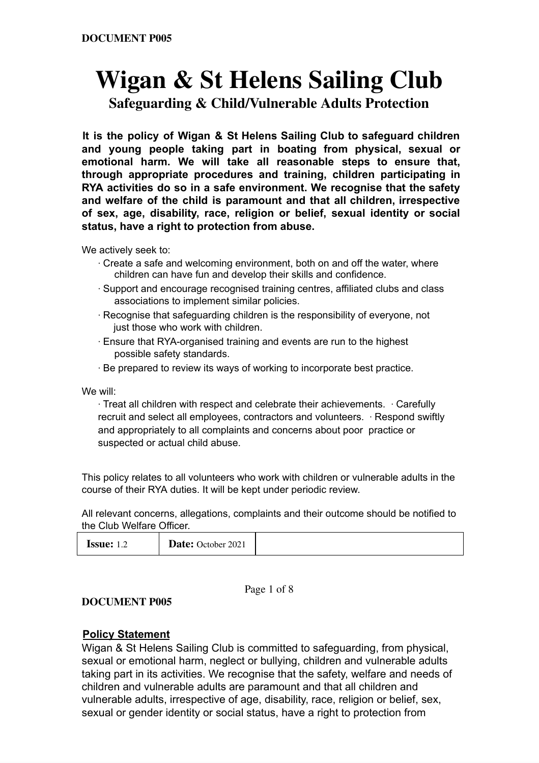# **Wigan & St Helens Sailing Club Safeguarding & Child/Vulnerable Adults Protection**

**It is the policy of Wigan & St Helens Sailing Club to safeguard children and young people taking part in boating from physical, sexual or emotional harm. We will take all reasonable steps to ensure that, through appropriate procedures and training, children participating in RYA activities do so in a safe environment. We recognise that the safety and welfare of the child is paramount and that all children, irrespective of sex, age, disability, race, religion or belief, sexual identity or social status, have a right to protection from abuse.**

We actively seek to:

- ∙ Create a safe and welcoming environment, both on and off the water, where children can have fun and develop their skills and confidence.
- ∙ Support and encourage recognised training centres, affiliated clubs and class associations to implement similar policies.
- ∙ Recognise that safeguarding children is the responsibility of everyone, not just those who work with children.
- ∙ Ensure that RYA-organised training and events are run to the highest possible safety standards.
- ∙ Be prepared to review its ways of working to incorporate best practice.

We will:

∙ Treat all children with respect and celebrate their achievements. ∙ Carefully recruit and select all employees, contractors and volunteers. ∙ Respond swiftly and appropriately to all complaints and concerns about poor practice or suspected or actual child abuse.

This policy relates to all volunteers who work with children or vulnerable adults in the course of their RYA duties. It will be kept under periodic review.

All relevant concerns, allegations, complaints and their outcome should be notified to the Club Welfare Officer.

| Date: October 2021<br><b>Issue:</b><br><b>1.4</b> |  |
|---------------------------------------------------|--|
|---------------------------------------------------|--|

Page 1 of 8

**DOCUMENT P005**

#### **Policy Statement**

Wigan & St Helens Sailing Club is committed to safeguarding, from physical, sexual or emotional harm, neglect or bullying, children and vulnerable adults taking part in its activities. We recognise that the safety, welfare and needs of children and vulnerable adults are paramount and that all children and vulnerable adults, irrespective of age, disability, race, religion or belief, sex, sexual or gender identity or social status, have a right to protection from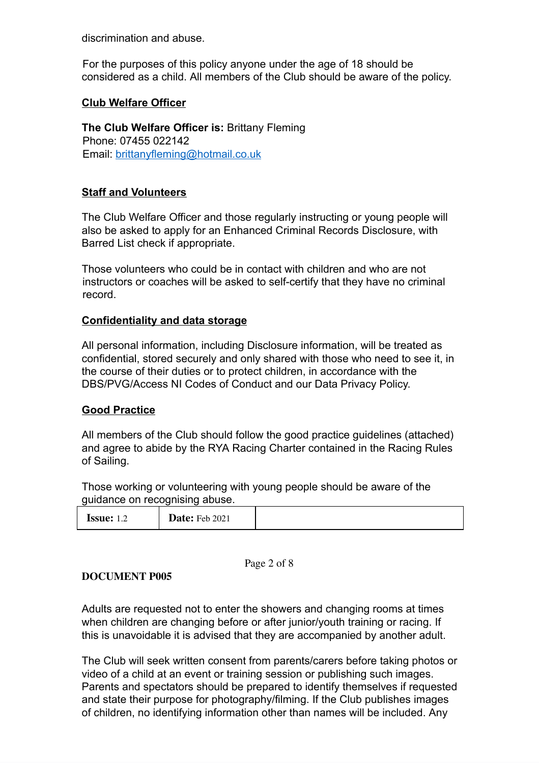discrimination and abuse.

For the purposes of this policy anyone under the age of 18 should be considered as a child. All members of the Club should be aware of the policy.

### **Club Welfare Officer**

**The Club Welfare Officer is:** Brittany Fleming Phone: 07455 022142 Email: brittanyfleming@hotmail.co.uk

### **Staff and Volunteers**

The Club Welfare Officer and those regularly instructing or young people will also be asked to apply for an Enhanced Criminal Records Disclosure, with Barred List check if appropriate.

Those volunteers who could be in contact with children and who are not instructors or coaches will be asked to self-certify that they have no criminal record.

## **Confidentiality and data storage**

All personal information, including Disclosure information, will be treated as confidential, stored securely and only shared with those who need to see it, in the course of their duties or to protect children, in accordance with the DBS/PVG/Access NI Codes of Conduct and our Data Privacy Policy.

#### **Good Practice**

All members of the Club should follow the good practice guidelines (attached) and agree to abide by the RYA Racing Charter contained in the Racing Rules of Sailing.

Those working or volunteering with young people should be aware of the guidance on recognising abuse.

| <b>ISSUE:</b> $1^{\circ}$ | <b>Date:</b> Feb 2021 |  |
|---------------------------|-----------------------|--|
|---------------------------|-----------------------|--|

Page 2 of 8

#### **DOCUMENT P005**

Adults are requested not to enter the showers and changing rooms at times when children are changing before or after junior/youth training or racing. If this is unavoidable it is advised that they are accompanied by another adult.

The Club will seek written consent from parents/carers before taking photos or video of a child at an event or training session or publishing such images. Parents and spectators should be prepared to identify themselves if requested and state their purpose for photography/filming. If the Club publishes images of children, no identifying information other than names will be included. Any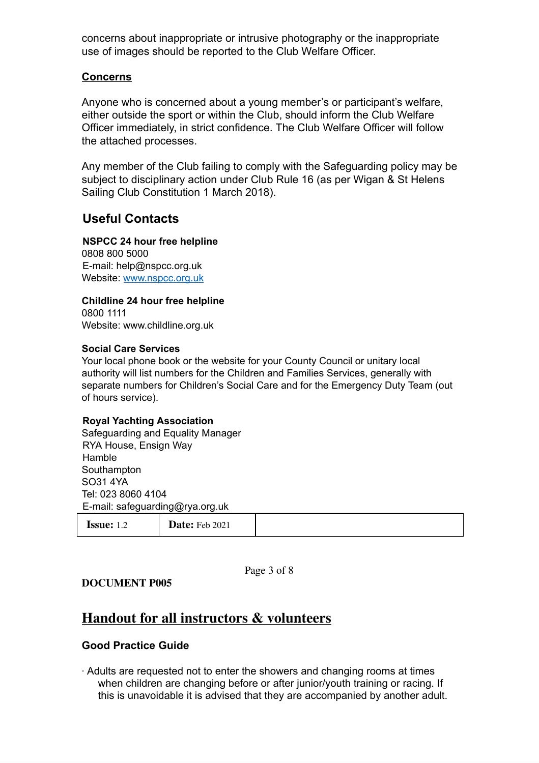concerns about inappropriate or intrusive photography or the inappropriate use of images should be reported to the Club Welfare Officer.

#### **Concerns**

Anyone who is concerned about a young member's or participant's welfare, either outside the sport or within the Club, should inform the Club Welfare Officer immediately, in strict confidence. The Club Welfare Officer will follow the attached processes.

Any member of the Club failing to comply with the Safeguarding policy may be subject to disciplinary action under Club Rule 16 (as per Wigan & St Helens Sailing Club Constitution 1 March 2018).

# **Useful Contacts**

## **NSPCC 24 hour free helpline**

0808 800 5000 E-mail: help@nspcc.org.uk Website: www.nspcc.org.uk

**Childline 24 hour free helpline** 0800 1111 Website: www.childline.org.uk

#### **Social Care Services**

Your local phone book or the website for your County Council or unitary local authority will list numbers for the Children and Families Services, generally with separate numbers for Children's Social Care and for the Emergency Duty Team (out of hours service).

#### **Royal Yachting Association**

Safeguarding and Equality Manager RYA House, Ensign Way **Hamble** Southampton SO31 4YA Tel: 023 8060 4104 E-mail: safeguarding@rya.org.uk

| <b>Issue:</b> $1.2$ | <b>Date:</b> Feb 2021 |  |
|---------------------|-----------------------|--|
|---------------------|-----------------------|--|

Page 3 of 8

**DOCUMENT P005**

# **Handout for all instructors & volunteers**

#### **Good Practice Guide**

∙ Adults are requested not to enter the showers and changing rooms at times when children are changing before or after junior/youth training or racing. If this is unavoidable it is advised that they are accompanied by another adult.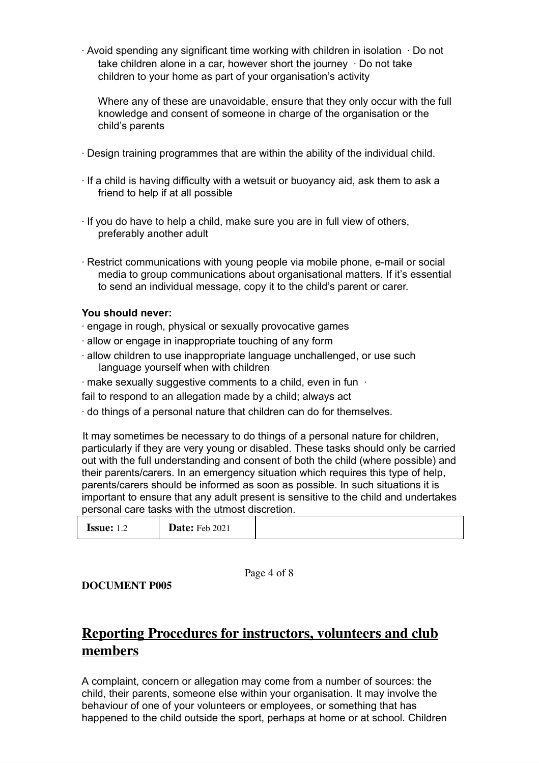∙ Avoid spending any significant time working with children in isolation ∙ Do not take children alone in a car, however short the journey ∙ Do not take children to your home as part of your organisation's activity

Where any of these are unavoidable, ensure that they only occur with the full knowledge and consent of someone in charge of the organisation or the child's parents

- ∙ Design training programmes that are within the ability of the individual child.
- ∙ If a child is having difficulty with a wetsuit or buoyancy aid, ask them to ask a friend to help if at all possible
- ∙ If you do have to help a child, make sure you are in full view of others, preferably another adult
- ∙ Restrict communications with young people via mobile phone, e-mail or social media to group communications about organisational matters. If it's essential to send an individual message, copy it to the child's parent or carer.

#### **You should never:**

- ∙ engage in rough, physical or sexually provocative games
- ∙ allow or engage in inappropriate touching of any form
- ∙ allow children to use inappropriate language unchallenged, or use such language yourself when with children
- ∙ make sexually suggestive comments to a child, even in fun ∙
- fail to respond to an allegation made by a child; always act
- ∙ do things of a personal nature that children can do for themselves.

It may sometimes be necessary to do things of a personal nature for children, particularly if they are very young or disabled. These tasks should only be carried out with the full understanding and consent of both the child (where possible) and their parents/carers. In an emergency situation which requires this type of help, parents/carers should be informed as soon as possible. In such situations it is important to ensure that any adult present is sensitive to the child and undertakes personal care tasks with the utmost discretion.

| <b>Date:</b> Feb 2021<br><b>ISSUE:</b> 1.2 |  |
|--------------------------------------------|--|
|--------------------------------------------|--|

Page 4 of 8

**DOCUMENT P005**

# **Reporting Procedures for instructors, volunteers and club members**

A complaint, concern or allegation may come from a number of sources: the child, their parents, someone else within your organisation. It may involve the behaviour of one of your volunteers or employees, or something that has happened to the child outside the sport, perhaps at home or at school. Children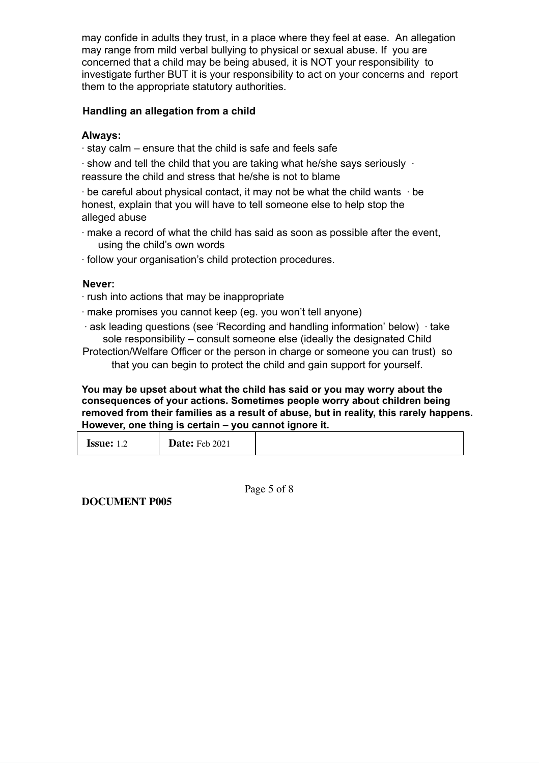may confide in adults they trust, in a place where they feel at ease. An allegation may range from mild verbal bullying to physical or sexual abuse. If you are concerned that a child may be being abused, it is NOT your responsibility to investigate further BUT it is your responsibility to act on your concerns and report them to the appropriate statutory authorities.

### **Handling an allegation from a child**

### **Always:**

∙ stay calm – ensure that the child is safe and feels safe

∙ show and tell the child that you are taking what he/she says seriously ∙

reassure the child and stress that he/she is not to blame

∙ be careful about physical contact, it may not be what the child wants ∙ be honest, explain that you will have to tell someone else to help stop the alleged abuse

- ∙ make a record of what the child has said as soon as possible after the event, using the child's own words
- ∙ follow your organisation's child protection procedures.

## **Never:**

- ∙ rush into actions that may be inappropriate
- ∙ make promises you cannot keep (eg. you won't tell anyone)
- ∙ ask leading questions (see 'Recording and handling information' below) ∙ take sole responsibility – consult someone else (ideally the designated Child

Protection/Welfare Officer or the person in charge or someone you can trust) so that you can begin to protect the child and gain support for yourself.

#### **You may be upset about what the child has said or you may worry about the consequences of your actions. Sometimes people worry about children being removed from their families as a result of abuse, but in reality, this rarely happens. However, one thing is certain – you cannot ignore it.**

| <b>Date:</b> Feb 2021<br><b>Issue:</b> $1.2$ |  |
|----------------------------------------------|--|
|----------------------------------------------|--|

Page 5 of 8

**DOCUMENT P005**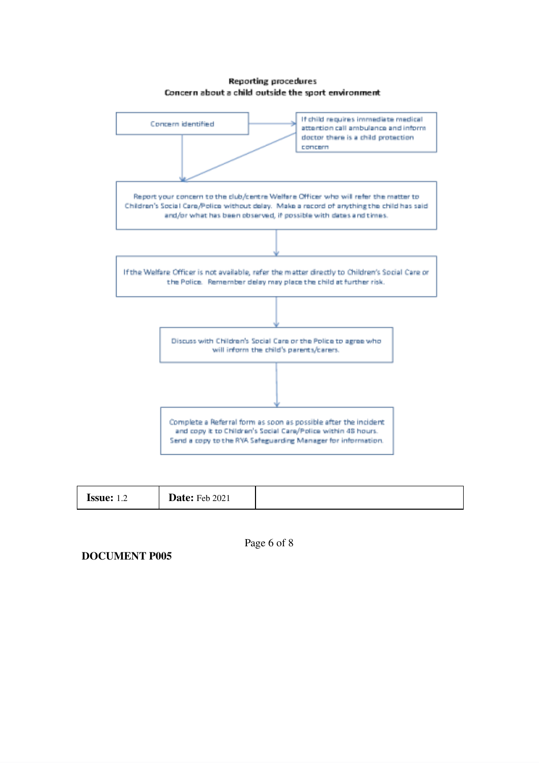#### **Reporting procedures** Concern about a child outside the sport environment



| <b>Date:</b> Feb 2021<br><b>Issue:</b><br>. |
|---------------------------------------------|
|---------------------------------------------|

Page 6 of 8

**DOCUMENT P005**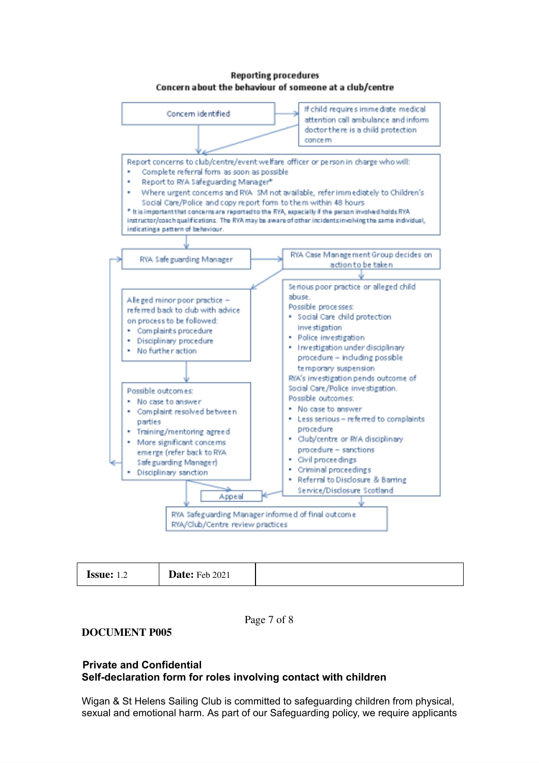#### **Reporting procedures** Concern about the behaviour of someone at a club/centre



| <b>Issue:</b><br>$\overline{1}$ | <b>Date:</b> Feb 2021 |  |
|---------------------------------|-----------------------|--|
|---------------------------------|-----------------------|--|

Page 7 of 8

#### **DOCUMENT P005**

#### **Private and Confidential Self-declaration form for roles involving contact with children**

Wigan & St Helens Sailing Club is committed to safeguarding children from physical, sexual and emotional harm. As part of our Safeguarding policy, we require applicants